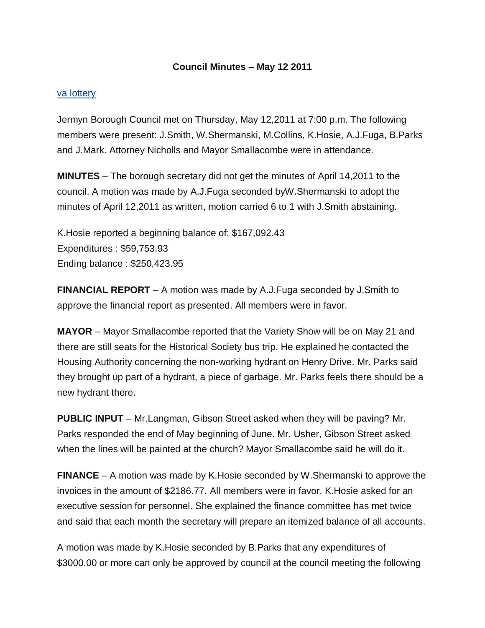## **Council Minutes – May 12 2011**

## [va lottery](http://biolot.org/lottery-virginia)

Jermyn Borough Council met on Thursday, May 12,2011 at 7:00 p.m. The following members were present: J.Smith, W.Shermanski, M.Collins, K.Hosie, A.J.Fuga, B.Parks and J.Mark. Attorney Nicholls and Mayor Smallacombe were in attendance.

**MINUTES** – The borough secretary did not get the minutes of April 14,2011 to the council. A motion was made by A.J.Fuga seconded byW.Shermanski to adopt the minutes of April 12,2011 as written, motion carried 6 to 1 with J.Smith abstaining.

K.Hosie reported a beginning balance of: \$167,092.43 Expenditures : \$59,753.93 Ending balance : \$250,423.95

**FINANCIAL REPORT** – A motion was made by A.J.Fuga seconded by J.Smith to approve the financial report as presented. All members were in favor.

**MAYOR** – Mayor Smallacombe reported that the Variety Show will be on May 21 and there are still seats for the Historical Society bus trip. He explained he contacted the Housing Authority concerning the non-working hydrant on Henry Drive. Mr. Parks said they brought up part of a hydrant, a piece of garbage. Mr. Parks feels there should be a new hydrant there.

**PUBLIC INPUT** – Mr.Langman, Gibson Street asked when they will be paving? Mr. Parks responded the end of May beginning of June. Mr. Usher, Gibson Street asked when the lines will be painted at the church? Mayor Smallacombe said he will do it.

**FINANCE** – A motion was made by K.Hosie seconded by W.Shermanski to approve the invoices in the amount of \$2186.77. All members were in favor. K.Hosie asked for an executive session for personnel. She explained the finance committee has met twice and said that each month the secretary will prepare an itemized balance of all accounts.

A motion was made by K.Hosie seconded by B.Parks that any expenditures of \$3000.00 or more can only be approved by council at the council meeting the following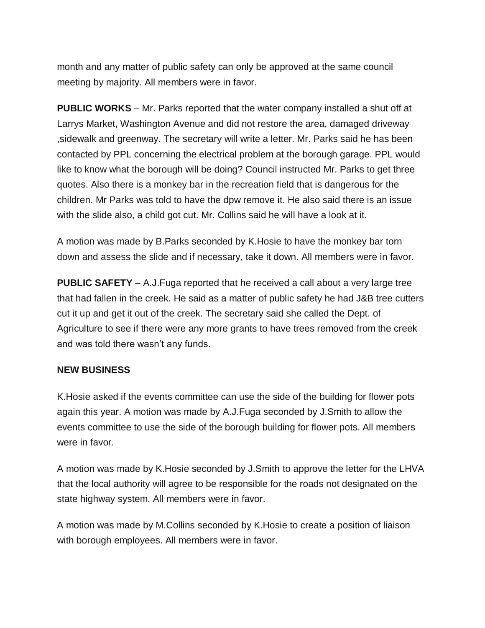month and any matter of public safety can only be approved at the same council meeting by majority. All members were in favor.

**PUBLIC WORKS** – Mr. Parks reported that the water company installed a shut off at Larrys Market, Washington Avenue and did not restore the area, damaged driveway ,sidewalk and greenway. The secretary will write a letter. Mr. Parks said he has been contacted by PPL concerning the electrical problem at the borough garage. PPL would like to know what the borough will be doing? Council instructed Mr. Parks to get three quotes. Also there is a monkey bar in the recreation field that is dangerous for the children. Mr Parks was told to have the dpw remove it. He also said there is an issue with the slide also, a child got cut. Mr. Collins said he will have a look at it.

A motion was made by B.Parks seconded by K.Hosie to have the monkey bar torn down and assess the slide and if necessary, take it down. All members were in favor.

**PUBLIC SAFETY** – A.J.Fuga reported that he received a call about a very large tree that had fallen in the creek. He said as a matter of public safety he had J&B tree cutters cut it up and get it out of the creek. The secretary said she called the Dept. of Agriculture to see if there were any more grants to have trees removed from the creek and was told there wasn't any funds.

## **NEW BUSINESS**

K.Hosie asked if the events committee can use the side of the building for flower pots again this year. A motion was made by A.J.Fuga seconded by J.Smith to allow the events committee to use the side of the borough building for flower pots. All members were in favor.

A motion was made by K.Hosie seconded by J.Smith to approve the letter for the LHVA that the local authority will agree to be responsible for the roads not designated on the state highway system. All members were in favor.

A motion was made by M.Collins seconded by K.Hosie to create a position of liaison with borough employees. All members were in favor.